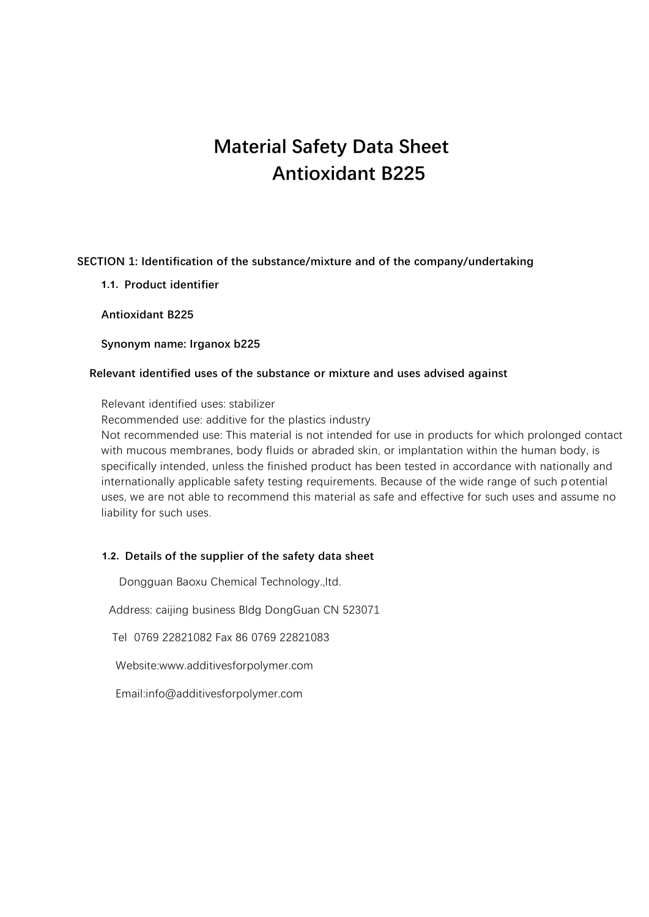# **Material Safety Data Sheet Antioxidant B225**

# **SECTION 1: Identification of the substance/mixture and of the company/undertaking**

**1.1. Product identifier**

**Antioxidant B225**

**Synonym name: Irganox b225**

#### **Relevant identified uses of the substance or mixture and uses advised against**

Relevant identified uses: stabilizer

Recommended use: additive for the plastics industry

Not recommended use: This material is not intended for use in products for which prolonged contact with mucous membranes, body fluids or abraded skin, or implantation within the human body, is specifically intended, unless the finished product has been tested in accordance with nationally and internationally applicable safety testing requirements. Because of the wide range of such potential uses, we are not able to recommend this material as safe and effective for such uses and assume no liability for such uses.

# **1.2. Details of the supplier of the safety data sheet**

**1.3.** Dongguan Baoxu Chemical Technology.,ltd.

**1.4.** Address: caijing business Bldg DongGuan CN 523071

**1.5.** Tel 0769 22821082 Fax 86 0769 22821083

**1.6.** Website:www.additivesforpolymer.com

**1.7.** Email:info@additivesforpolymer.com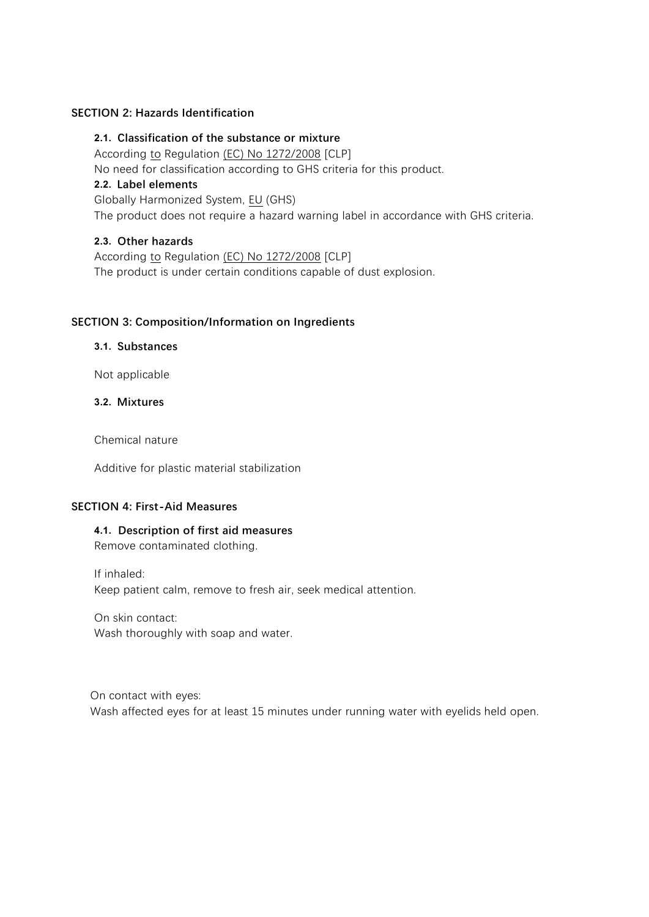#### **SECTION 2: Hazards Identification**

**2.1. Classification of the substance or mixture**

According to Regulation (EC) No 1272/2008 [CLP]

No need for classification according to GHS criteria for this product.

# **2.2. Label elements**

Globally Harmonized System, EU (GHS)

The product does not require a hazard warning label in accordance with GHS criteria.

# **2.3. Other hazards**

According to Regulation (EC) No 1272/2008 [CLP] The product is under certain conditions capable of dust explosion.

#### **SECTION 3: Composition/Information on Ingredients**

#### **3.1. Substances**

Not applicable

# **3.2. Mixtures**

Chemical nature

Additive for plastic material stabilization

#### **SECTION 4: First-Aid Measures**

#### **4.1. Description of first aid measures** Remove contaminated clothing.

If inhaled: Keep patient calm, remove to fresh air, seek medical attention.

On skin contact: Wash thoroughly with soap and water.

On contact with eyes: Wash affected eyes for at least 15 minutes under running water with eyelids held open.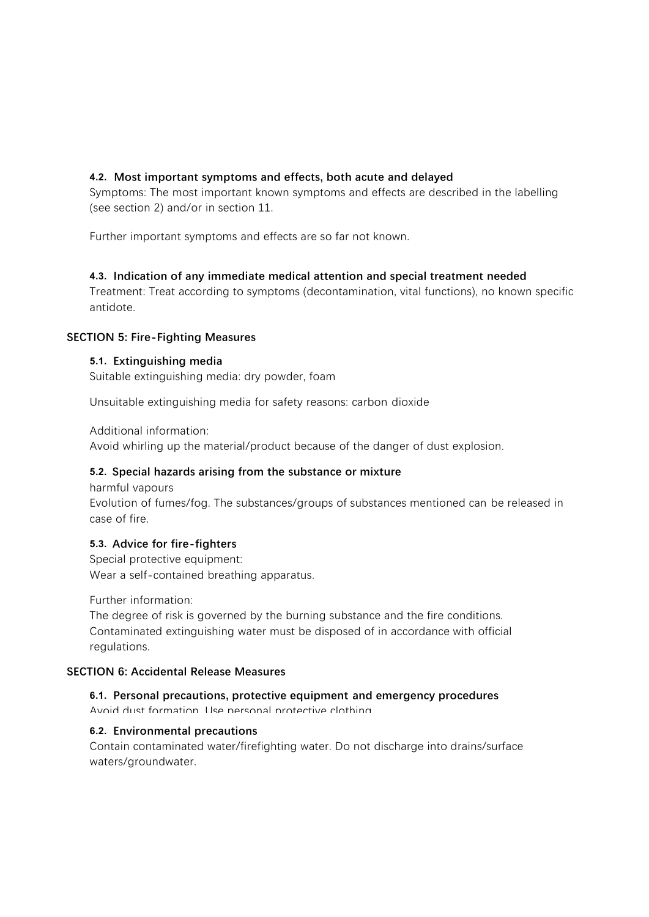# **4.2. Most important symptoms and effects, both acute and delayed**

Symptoms: The most important known symptoms and effects are described in the labelling (see section 2) and/or in section 11.

Further important symptoms and effects are so far not known.

# **4.3. Indication of any immediate medical attention and special treatment needed**

Treatment: Treat according to symptoms (decontamination, vital functions), no known specific antidote.

# **SECTION 5: Fire-Fighting Measures**

# **5.1. Extinguishing media**

Suitable extinguishing media: dry powder, foam

Unsuitable extinguishing media for safety reasons: carbon dioxide

Additional information:

Avoid whirling up the material/product because of the danger of dust explosion.

# **5.2. Special hazards arising from the substance or mixture**

harmful vapours Evolution of fumes/fog. The substances/groups of substances mentioned can be released in case of fire.

# **5.3. Advice for fire-fighters**

Special protective equipment: Wear a self-contained breathing apparatus.

Further information:

The degree of risk is governed by the burning substance and the fire conditions. Contaminated extinguishing water must be disposed of in accordance with official regulations.

# **SECTION 6: Accidental Release Measures**

# **6.1. Personal precautions, protective equipment and emergency procedures**

Avoid dust formation. Use personal protective clothing.

# **6.2. Environmental precautions**

Contain contaminated water/firefighting water. Do not discharge into drains/surface waters/groundwater.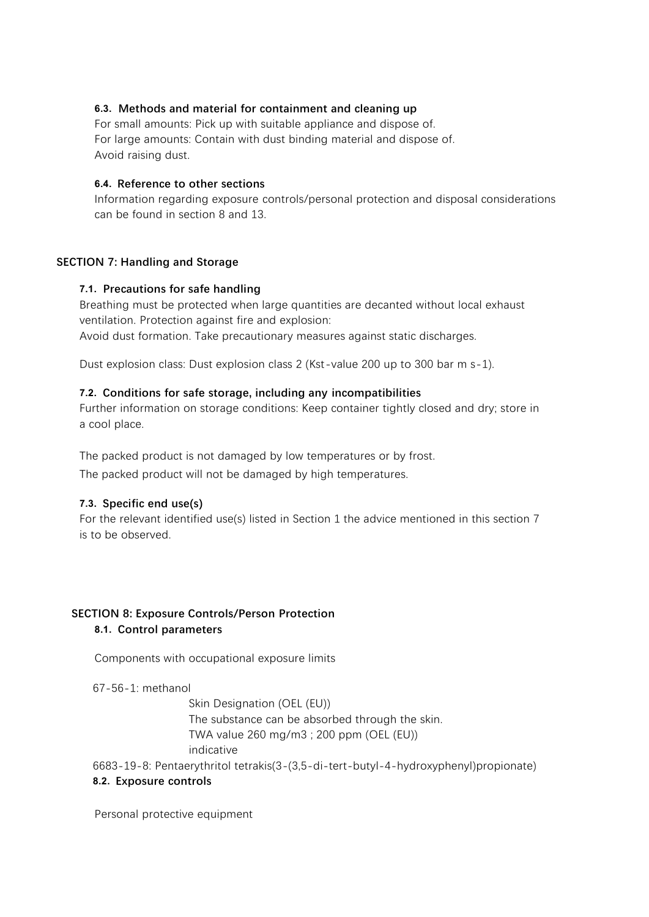# **6.3. Methods and material for containment and cleaning up**

For small amounts: Pick up with suitable appliance and dispose of. For large amounts: Contain with dust binding material and dispose of. Avoid raising dust.

#### **6.4. Reference to other sections**

Information regarding exposure controls/personal protection and disposal considerations can be found in section 8 and 13.

#### **SECTION 7: Handling and Storage**

#### **7.1. Precautions for safe handling**

Breathing must be protected when large quantities are decanted without local exhaust ventilation. Protection against fire and explosion: Avoid dust formation. Take precautionary measures against static discharges.

Dust explosion class: Dust explosion class 2 (Kst-value 200 up to 300 bar m s-1).

#### **7.2. Conditions for safe storage, including any incompatibilities**

Further information on storage conditions: Keep container tightly closed and dry; store in a cool place.

The packed product is not damaged by low temperatures or by frost. The packed product will not be damaged by high temperatures.

# **7.3. Specific end use(s)**

For the relevant identified use(s) listed in Section 1 the advice mentioned in this section 7 is to be observed.

# **SECTION 8: Exposure Controls/Person Protection 8.1. Control parameters**

Components with occupational exposure limits

67-56-1: methanol

Skin Designation (OEL (EU)) The substance can be absorbed through the skin. TWA value 260 mg/m3 ; 200 ppm (OEL (EU)) indicative

6683-19-8: Pentaerythritol tetrakis(3-(3,5-di-tert-butyl-4-hydroxyphenyl)propionate)

# **8.2. Exposure controls**

Personal protective equipment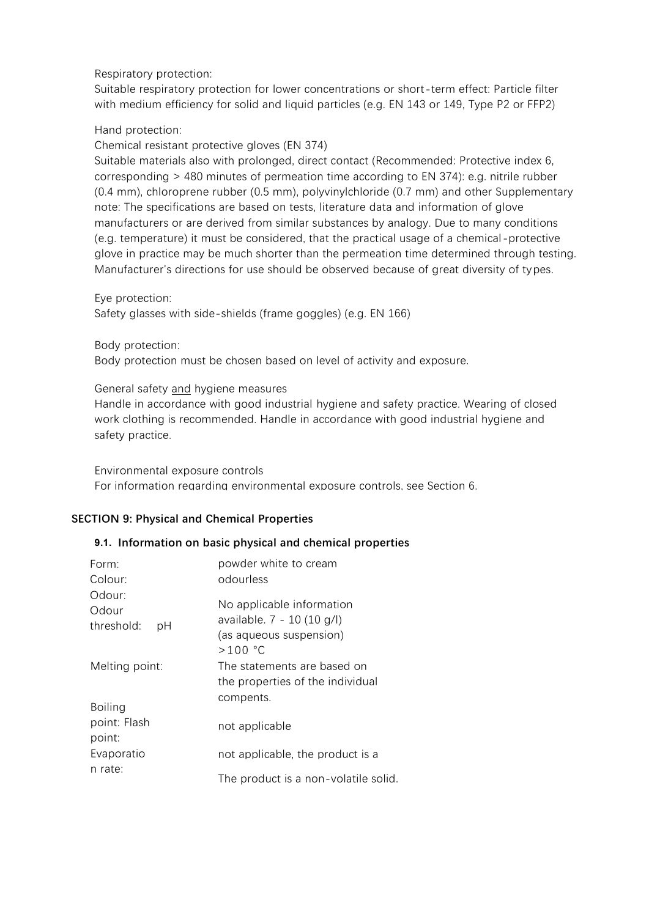# Respiratory protection:

Suitable respiratory protection for lower concentrations or short-term effect: Particle filter with medium efficiency for solid and liquid particles (e.g. EN 143 or 149, Type P2 or FFP2)

# Hand protection:

Chemical resistant protective gloves (EN 374)

Suitable materials also with prolonged, direct contact (Recommended: Protective index 6, corresponding > 480 minutes of permeation time according to EN 374): e.g. nitrile rubber (0.4 mm), chloroprene rubber (0.5 mm), polyvinylchloride (0.7 mm) and other Supplementary note: The specifications are based on tests, literature data and information of glove manufacturers or are derived from similar substances by analogy. Due to many conditions (e.g. temperature) it must be considered, that the practical usage of a chemical-protective glove in practice may be much shorter than the permeation time determined through testing. Manufacturer's directions for use should be observed because of great diversity of types.

Eye protection:

Safety glasses with side-shields (frame goggles) (e.g. EN 166)

Body protection:

Body protection must be chosen based on level of activity and exposure.

# General safety and hygiene measures

Handle in accordance with good industrial hygiene and safety practice. Wearing of closed work clothing is recommended. Handle in accordance with good industrial hygiene and safety practice.

Environmental exposure controls For information regarding environmental exposure controls, see Section 6.

# **SECTION 9: Physical and Chemical Properties**

# **9.1. Information on basic physical and chemical properties**

| Form:                                    | powder white to cream                                           |
|------------------------------------------|-----------------------------------------------------------------|
| Colour:                                  | odourless                                                       |
| Odour:                                   | No applicable information                                       |
| Odour                                    | available. 7 - 10 (10 g/l)                                      |
| threshold:                               | (as aqueous suspension)                                         |
| рH                                       | $>100$ °C                                                       |
| Melting point:                           | The statements are based on<br>the properties of the individual |
| <b>Boiling</b><br>point: Flash<br>point: | compents.<br>not applicable                                     |
| Evaporatio                               | not applicable, the product is a                                |
| n rate:                                  | The product is a non-volatile solid.                            |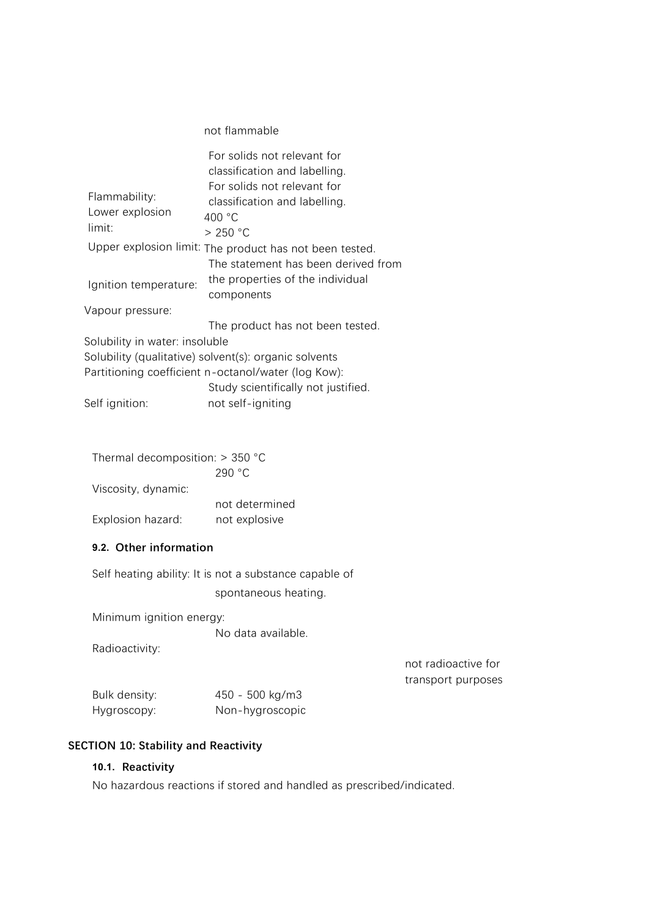# not flammable

|                                | For solids not relevant for                             |
|--------------------------------|---------------------------------------------------------|
|                                | classification and labelling.                           |
|                                | For solids not relevant for                             |
| Flammability:                  | classification and labelling.                           |
| Lower explosion                | 400 °C                                                  |
| limit:                         | > 250 °C                                                |
|                                | Upper explosion limit: The product has not been tested. |
|                                | The statement has been derived from                     |
| Ignition temperature:          | the properties of the individual                        |
|                                | components                                              |
| Vapour pressure:               |                                                         |
|                                | The product has not been tested.                        |
| Solubility in water: insoluble |                                                         |
|                                | Solubility (qualitative) solvent(s): organic solvents   |
|                                | Partitioning coefficient n-octanol/water (log Kow):     |
|                                | Study scientifically not justified.                     |
| Self ignition:                 | not self-igniting                                       |

|  | Thermal decomposition: $>$ 350 °C |  |  |
|--|-----------------------------------|--|--|
|  |                                   |  |  |

|                     | 290 °C         |
|---------------------|----------------|
| Viscosity, dynamic: |                |
|                     | not determined |
| Explosion hazard:   | not explosive  |

#### **9.2. Other information**

Self heating ability: It is not a substance capable of spontaneous heating.

Minimum ignition energy:

No data available.

Radioactivity:

not radioactive for transport purposes

| Bulk density: | 450 - 500 kg/m3 |
|---------------|-----------------|
| Hygroscopy:   | Non-hygroscopic |

# **SECTION 10: Stability and Reactivity** *CONDERTY <b>SECTION* 10: Stability and Reactivity

#### **10.1. Reactivity**

No hazardous reactions if stored and handled as prescribed/indicated.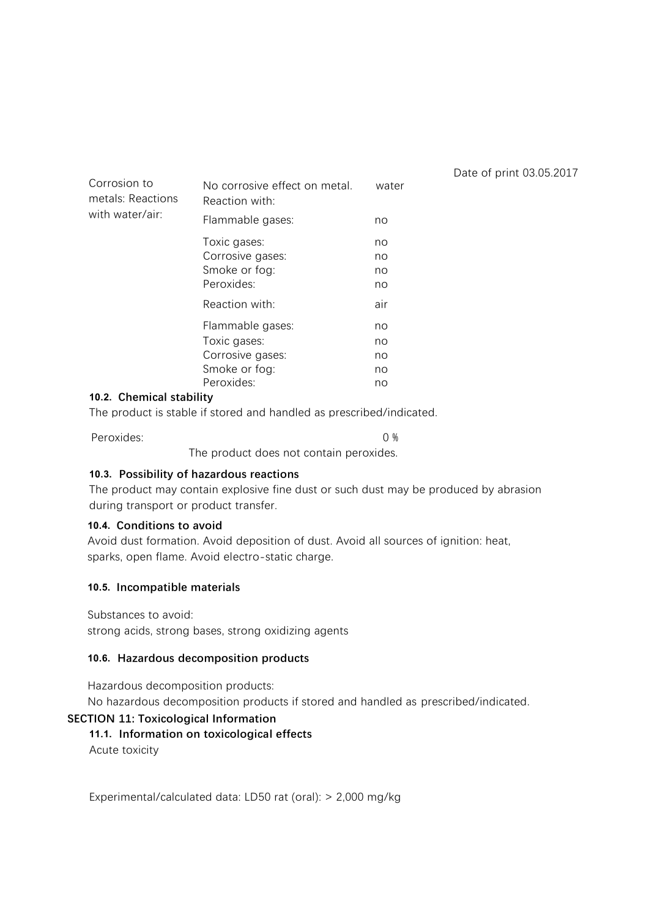| Corrosion to<br>metals: Reactions<br>with water/air: | No corrosive effect on metal.<br>Reaction with:                 | water                |
|------------------------------------------------------|-----------------------------------------------------------------|----------------------|
|                                                      | Flammable gases:                                                | no                   |
|                                                      | Toxic gases:<br>Corrosive gases:<br>Smoke or fog:<br>Peroxides: | no<br>no<br>no<br>no |
|                                                      | Reaction with:                                                  | air                  |
|                                                      | Flammable gases:<br>Toxic gases:                                | no<br>no             |
|                                                      | Corrosive gases:                                                | no                   |
|                                                      | Smoke or fog:                                                   | no                   |
|                                                      | Peroxides:                                                      | no                   |

#### **10.2. Chemical stability**

The product is stable if stored and handled as prescribed/indicated.

Peroxides: 0 %

The product does not contain peroxides.

#### **10.3. Possibility of hazardous reactions**

The product may contain explosive fine dust or such dust may be produced by abrasion during transport or product transfer.

Date of print 03.05.2017

#### **10.4. Conditions to avoid**

Avoid dust formation. Avoid deposition of dust. Avoid all sources of ignition: heat, sparks, open flame. Avoid electro-static charge.

#### **10.5. Incompatible materials**

Substances to avoid:

strong acids, strong bases, strong oxidizing agents

#### **10.6. Hazardous decomposition products**

Hazardous decomposition products:

No hazardous decomposition products if stored and handled as prescribed/indicated.

#### **SECTION 11: Toxicological Information**

#### **11.1. Information on toxicological effects**

Acute toxicity

Experimental/calculated data: LD50 rat (oral): > 2,000 mg/kg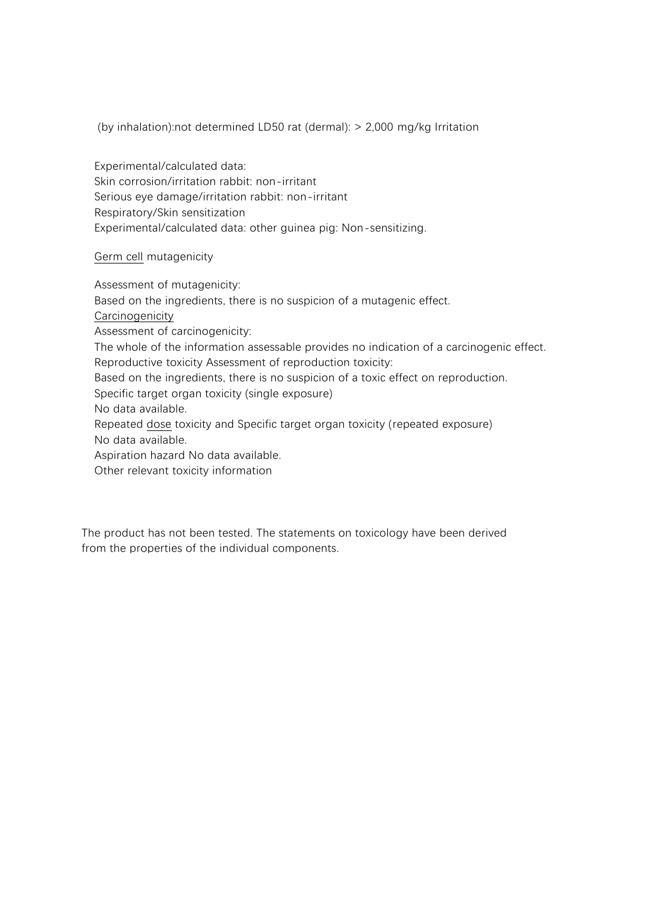(by inhalation):not determined LD50 rat (dermal): > 2,000 mg/kg Irritation

Experimental/calculated data: Skin corrosion/irritation rabbit: non-irritant Serious eye damage/irritation rabbit: non-irritant Respiratory/Skin sensitization Experimental/calculated data: other guinea pig: Non-sensitizing.

Germ cell mutagenicity

Assessment of mutagenicity: Based on the ingredients, there is no suspicion of a mutagenic effect. **Carcinogenicity** Assessment of carcinogenicity: The whole of the information assessable provides no indication of a carcinogenic effect. Reproductive toxicity Assessment of reproduction toxicity: Based on the ingredients, there is no suspicion of a toxic effect on reproduction. Specific target organ toxicity (single exposure) No data available. Repeated dose toxicity and Specific target organ toxicity (repeated exposure) No data available. Aspiration hazard No data available. Other relevant toxicity information

The product has not been tested. The statements on toxicology have been derived from the properties of the individual components.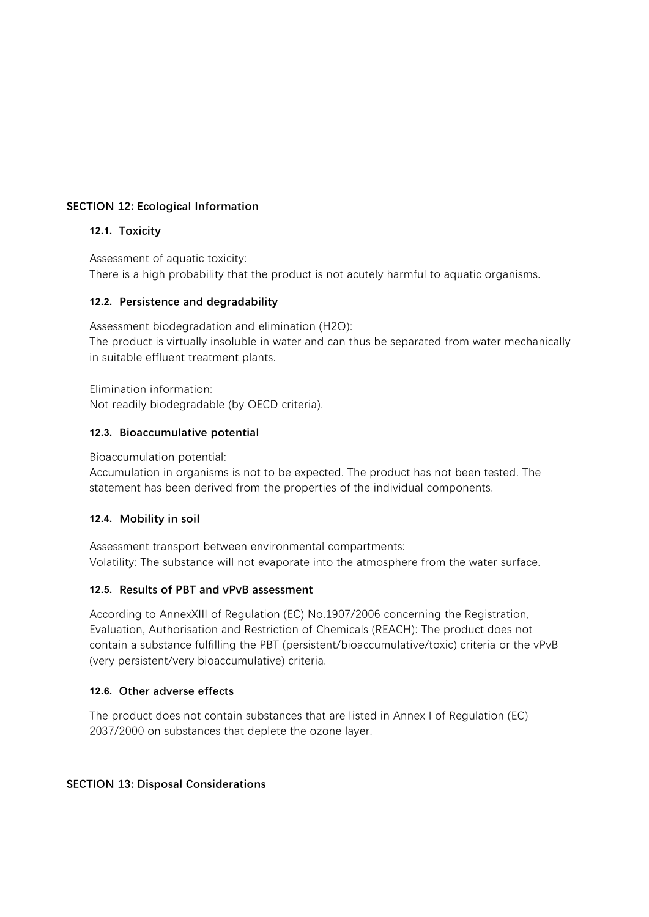# **SECTION 12: Ecological Information**

# **12.1. Toxicity**

Assessment of aquatic toxicity: There is a high probability that the product is not acutely harmful to aquatic organisms.

# **12.2. Persistence and degradability**

Assessment biodegradation and elimination (H2O): The product is virtually insoluble in water and can thus be separated from water mechanically in suitable effluent treatment plants.

Elimination information: Not readily biodegradable (by OECD criteria).

# **12.3. Bioaccumulative potential**

Bioaccumulation potential:

Accumulation in organisms is not to be expected. The product has not been tested. The statement has been derived from the properties of the individual components.

# **12.4. Mobility in soil**

Assessment transport between environmental compartments: Volatility: The substance will not evaporate into the atmosphere from the water surface.

# **12.5. Results of PBT and vPvB assessment**

According to AnnexXIII of Regulation (EC) No.1907/2006 concerning the Registration, Evaluation, Authorisation and Restriction of Chemicals (REACH): The product does not contain a substance fulfilling the PBT (persistent/bioaccumulative/toxic) criteria or the vPvB (very persistent/very bioaccumulative) criteria.

# **12.6. Other adverse effects**

The product does not contain substances that are listed in Annex I of Regulation (EC) 2037/2000 on substances that deplete the ozone layer.

# **SECTION 13: Disposal Considerations**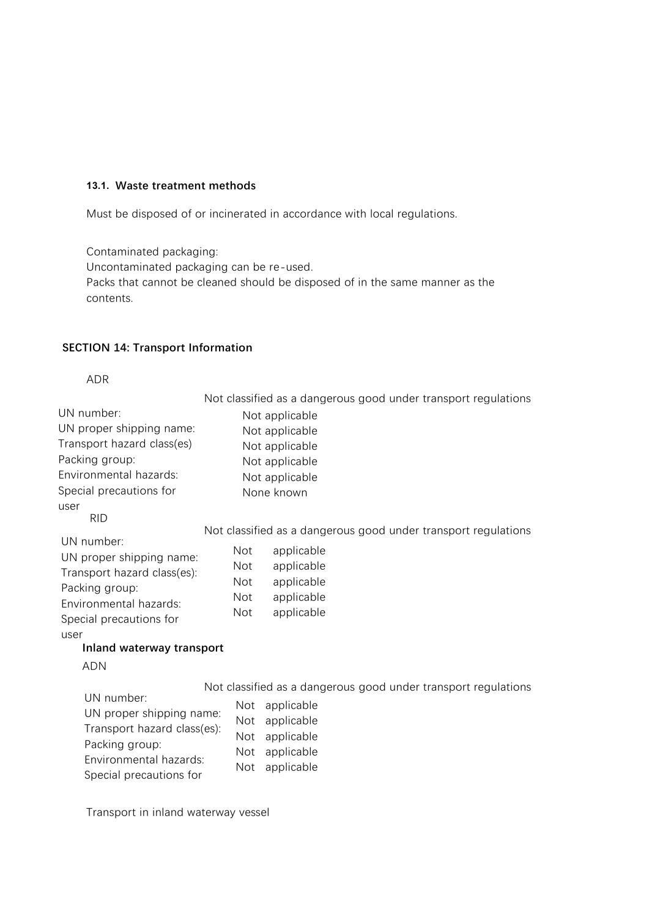# **13.1. Waste treatment methods**

Must be disposed of or incinerated in accordance with local regulations.

Contaminated packaging: Uncontaminated packaging can be re-used. Packs that cannot be cleaned should be disposed of in the same manner as the contents.

#### **SECTION 14: Transport Information**

**Land transport** ADR

|                                                                                                                                              | Not classified as a dangerous good under transport regulations                                                                                                                        |  |  |
|----------------------------------------------------------------------------------------------------------------------------------------------|---------------------------------------------------------------------------------------------------------------------------------------------------------------------------------------|--|--|
| UN number:                                                                                                                                   | Not applicable                                                                                                                                                                        |  |  |
| UN proper shipping name:                                                                                                                     | Not applicable                                                                                                                                                                        |  |  |
| Transport hazard class(es)                                                                                                                   | Not applicable                                                                                                                                                                        |  |  |
| Packing group:                                                                                                                               | Not applicable                                                                                                                                                                        |  |  |
| Environmental hazards:                                                                                                                       | Not applicable                                                                                                                                                                        |  |  |
| Special precautions for                                                                                                                      | None known                                                                                                                                                                            |  |  |
| user<br><b>RID</b>                                                                                                                           |                                                                                                                                                                                       |  |  |
| UN number:                                                                                                                                   | Not classified as a dangerous good under transport regulations                                                                                                                        |  |  |
| UN proper shipping name:<br>Transport hazard class(es):<br>Packing group:<br>Environmental hazards:<br>Special precautions for<br>user       | <b>Not</b><br>applicable<br><b>Not</b><br>applicable<br>applicable<br><b>Not</b><br>applicable<br><b>Not</b><br><b>Not</b><br>applicable                                              |  |  |
| Inland waterway transport                                                                                                                    |                                                                                                                                                                                       |  |  |
| <b>ADN</b>                                                                                                                                   |                                                                                                                                                                                       |  |  |
| UN number:<br>UN proper shipping name:<br>Transport hazard class(es):<br>Packing group:<br>Environmental hazards:<br>Special precautions for | Not classified as a dangerous good under transport regulations<br>applicable<br>Not<br>applicable<br>Not<br>applicable<br>Not<br>applicable<br><b>Not</b><br>applicable<br><b>Not</b> |  |  |

Transport in inland waterway vessel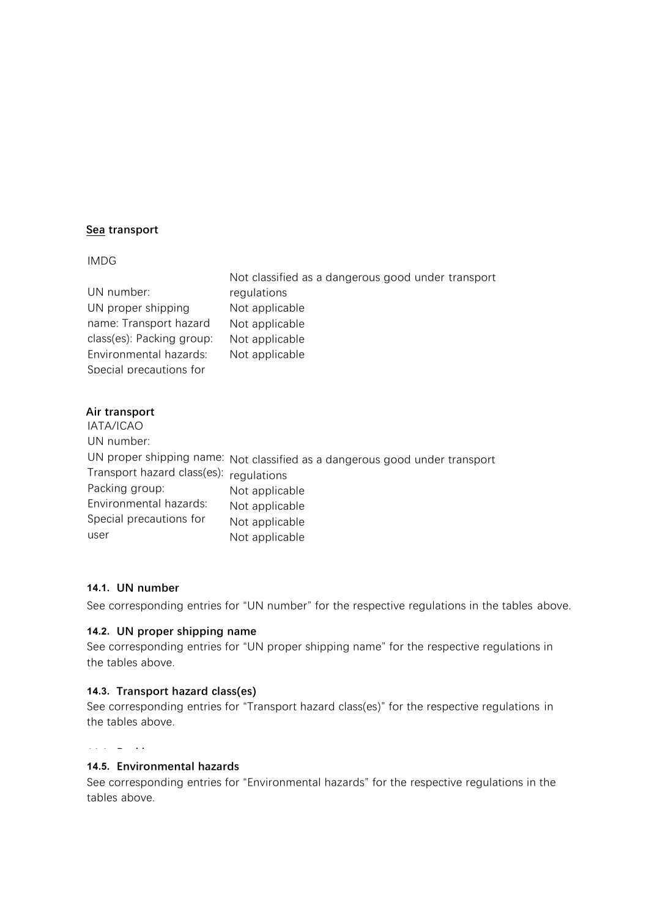# **Sea transport**

#### IMDG

|                           | Not classified as a dangerous good under transport |
|---------------------------|----------------------------------------------------|
| UN number:                | regulations                                        |
| UN proper shipping        | Not applicable                                     |
| name: Transport hazard    | Not applicable                                     |
| class(es): Packing group: | Not applicable                                     |
| Environmental hazards:    | Not applicable                                     |
| Special precautions for   |                                                    |

# **Air transport**

| IATA/ICAO                               |                                                                             |
|-----------------------------------------|-----------------------------------------------------------------------------|
| UN number:                              |                                                                             |
|                                         | UN proper shipping name: Not classified as a dangerous good under transport |
|                                         |                                                                             |
| Packing group:                          | Not applicable                                                              |
| Environmental hazards:                  | Not applicable                                                              |
| Special precautions for                 | Not applicable                                                              |
| user                                    | Not applicable                                                              |
| Transport hazard class(es): regulations |                                                                             |

# **14.1. UN number**

See corresponding entries for "UN number" for the respective regulations in the tables above.

# **14.2. UN proper shipping name**

See corresponding entries for "UN proper shipping name" for the respective regulations in the tables above.

#### **14.3. Transport hazard class(es)**

See corresponding entries for "Transport hazard class(es)" for the respective regulations in the tables above.

#### **14.4. Packing group**

# See corresponding entries for "Packing group" for the respective regulations in the tables **14.5. Environmental hazards**

See corresponding entries for "Environmental hazards" for the respective regulations in the tables above.